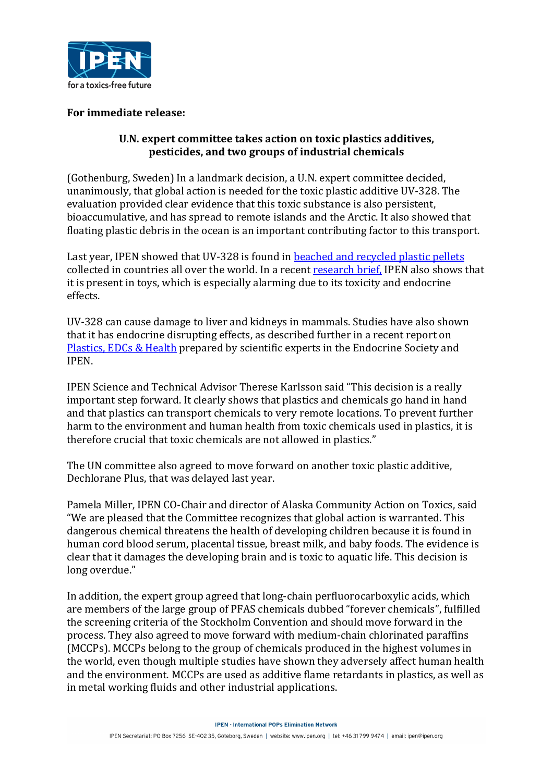

## **For immediate release:**

## U.N. expert committee takes action on toxic plastics additives, **pesticides, and two groups of industrial chemicals**

(Gothenburg, Sweden) In a landmark decision, a U.N. expert committee decided, unanimously, that global action is needed for the toxic plastic additive UV-328. The evaluation provided clear evidence that this toxic substance is also persistent. bioaccumulative, and has spread to remote islands and the Arctic. It also showed that floating plastic debris in the ocean is an important contributing factor to this transport.

Last year, IPEN showed that UV-328 is found in beached and recycled plastic pellets collected in countries all over the world. In a recent research brief, IPEN also shows that it is present in toys, which is especially alarming due to its toxicity and endocrine effects. 

UV-328 can cause damage to liver and kidneys in mammals. Studies have also shown that it has endocrine disrupting effects, as described further in a recent report on Plastics, EDCs & Health prepared by scientific experts in the Endocrine Society and IPEN.

IPEN Science and Technical Advisor Therese Karlsson said "This decision is a really important step forward. It clearly shows that plastics and chemicals go hand in hand and that plastics can transport chemicals to very remote locations. To prevent further harm to the environment and human health from toxic chemicals used in plastics, it is therefore crucial that toxic chemicals are not allowed in plastics."

The UN committee also agreed to move forward on another toxic plastic additive, Dechlorane Plus, that was delayed last year.

Pamela Miller, IPEN CO-Chair and director of Alaska Community Action on Toxics, said "We are pleased that the Committee recognizes that global action is warranted. This dangerous chemical threatens the health of developing children because it is found in human cord blood serum, placental tissue, breast milk, and baby foods. The evidence is clear that it damages the developing brain and is toxic to aquatic life. This decision is long overdue."

In addition, the expert group agreed that long-chain perfluorocarboxylic acids, which are members of the large group of PFAS chemicals dubbed "forever chemicals", fulfilled the screening criteria of the Stockholm Convention and should move forward in the process. They also agreed to move forward with medium-chain chlorinated paraffins (MCCPs). MCCPs belong to the group of chemicals produced in the highest volumes in the world, even though multiple studies have shown they adversely affect human health and the environment. MCCPs are used as additive flame retardants in plastics, as well as in metal working fluids and other industrial applications.